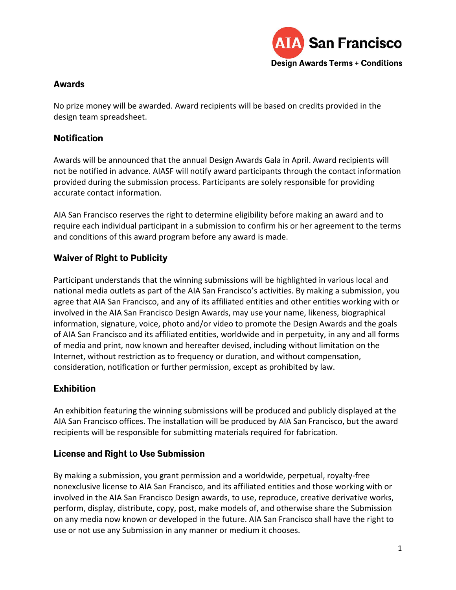

#### **Awards**

No prize money will be awarded. Award recipients will be based on credits provided in the design team spreadsheet.

### **Notification**

Awards will be announced that the annual Design Awards Gala in April. Award recipients will not be notified in advance. AIASF will notify award participants through the contact information provided during the submission process. Participants are solely responsible for providing accurate contact information.

AIA San Francisco reserves the right to determine eligibility before making an award and to require each individual participant in a submission to confirm his or her agreement to the terms and conditions of this award program before any award is made.

# **Waiver of Right to Publicity**

Participant understands that the winning submissions will be highlighted in various local and national media outlets as part of the AIA San Francisco's activities. By making a submission, you agree that AIA San Francisco, and any of its affiliated entities and other entities working with or involved in the AIA San Francisco Design Awards, may use your name, likeness, biographical information, signature, voice, photo and/or video to promote the Design Awards and the goals of AIA San Francisco and its affiliated entities, worldwide and in perpetuity, in any and all forms of media and print, now known and hereafter devised, including without limitation on the Internet, without restriction as to frequency or duration, and without compensation, consideration, notification or further permission, except as prohibited by law.

# **Exhibition**

An exhibition featuring the winning submissions will be produced and publicly displayed at the AIA San Francisco offices. The installation will be produced by AIA San Francisco, but the award recipients will be responsible for submitting materials required for fabrication.

# **License and Right to Use Submission**

By making a submission, you grant permission and a worldwide, perpetual, royalty-free nonexclusive license to AIA San Francisco, and its affiliated entities and those working with or involved in the AIA San Francisco Design awards, to use, reproduce, creative derivative works, perform, display, distribute, copy, post, make models of, and otherwise share the Submission on any media now known or developed in the future. AIA San Francisco shall have the right to use or not use any Submission in any manner or medium it chooses.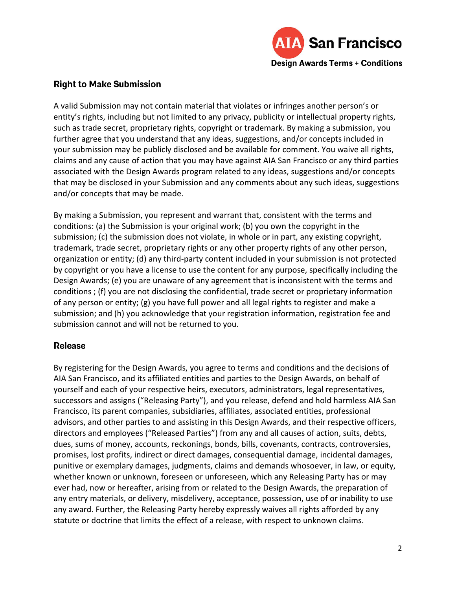

#### **Right to Make Submission**

A valid Submission may not contain material that violates or infringes another person's or entity's rights, including but not limited to any privacy, publicity or intellectual property rights, such as trade secret, proprietary rights, copyright or trademark. By making a submission, you further agree that you understand that any ideas, suggestions, and/or concepts included in your submission may be publicly disclosed and be available for comment. You waive all rights, claims and any cause of action that you may have against AIA San Francisco or any third parties associated with the Design Awards program related to any ideas, suggestions and/or concepts that may be disclosed in your Submission and any comments about any such ideas, suggestions and/or concepts that may be made.

By making a Submission, you represent and warrant that, consistent with the terms and conditions: (a) the Submission is your original work; (b) you own the copyright in the submission; (c) the submission does not violate, in whole or in part, any existing copyright, trademark, trade secret, proprietary rights or any other property rights of any other person, organization or entity; (d) any third-party content included in your submission is not protected by copyright or you have a license to use the content for any purpose, specifically including the Design Awards; (e) you are unaware of any agreement that is inconsistent with the terms and conditions ; (f) you are not disclosing the confidential, trade secret or proprietary information of any person or entity; (g) you have full power and all legal rights to register and make a submission; and (h) you acknowledge that your registration information, registration fee and submission cannot and will not be returned to you.

#### **Release**

By registering for the Design Awards, you agree to terms and conditions and the decisions of AIA San Francisco, and its affiliated entities and parties to the Design Awards, on behalf of yourself and each of your respective heirs, executors, administrators, legal representatives, successors and assigns ("Releasing Party"), and you release, defend and hold harmless AIA San Francisco, its parent companies, subsidiaries, affiliates, associated entities, professional advisors, and other parties to and assisting in this Design Awards, and their respective officers, directors and employees ("Released Parties") from any and all causes of action, suits, debts, dues, sums of money, accounts, reckonings, bonds, bills, covenants, contracts, controversies, promises, lost profits, indirect or direct damages, consequential damage, incidental damages, punitive or exemplary damages, judgments, claims and demands whosoever, in law, or equity, whether known or unknown, foreseen or unforeseen, which any Releasing Party has or may ever had, now or hereafter, arising from or related to the Design Awards, the preparation of any entry materials, or delivery, misdelivery, acceptance, possession, use of or inability to use any award. Further, the Releasing Party hereby expressly waives all rights afforded by any statute or doctrine that limits the effect of a release, with respect to unknown claims.